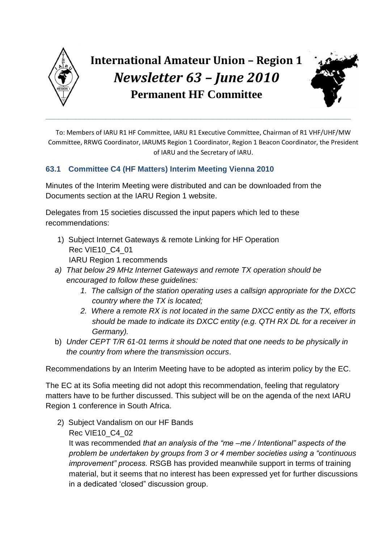

**\_\_\_\_\_\_\_\_\_\_\_\_\_\_\_\_\_\_\_\_\_\_\_\_\_\_\_\_\_\_\_\_\_\_\_\_\_\_\_\_\_\_\_\_\_\_\_\_\_\_\_\_\_\_\_\_\_\_\_\_\_\_\_\_\_\_\_\_\_\_\_**



To: Members of IARU R1 HF Committee, IARU R1 Executive Committee, Chairman of R1 VHF/UHF/MW Committee, RRWG Coordinator, IARUMS Region 1 Coordinator, Region 1 Beacon Coordinator, the President of IARU and the Secretary of IARU.

# **63.1 Committee C4 (HF Matters) Interim Meeting Vienna 2010**

Minutes of the Interim Meeting were distributed and can be downloaded from the Documents section at the IARU Region 1 website.

Delegates from 15 societies discussed the input papers which led to these recommendations:

- 1) Subject Internet Gateways & remote Linking for HF Operation Rec VIE10\_C4\_01 IARU Region 1 recommends
- *a) That below 29 MHz Internet Gateways and remote TX operation should be encouraged to follow these guidelines:*
	- *1. The callsign of the station operating uses a callsign appropriate for the DXCC country where the TX is located;*
	- *2. Where a remote RX is not located in the same DXCC entity as the TX, efforts should be made to indicate its DXCC entity (e.g. QTH RX DL for a receiver in Germany).*
- b) *Under CEPT T/R 61-01 terms it should be noted that one needs to be physically in the country from where the transmission occurs*.

Recommendations by an Interim Meeting have to be adopted as interim policy by the EC.

The EC at its Sofia meeting did not adopt this recommendation, feeling that regulatory matters have to be further discussed. This subject will be on the agenda of the next IARU Region 1 conference in South Africa.

2) Subject Vandalism on our HF Bands Rec VIE10\_C4\_02

It was recommended *that an analysis of the "me –me / Intentional" aspects of the problem be undertaken by groups from 3 or 4 member societies using a "continuous improvement" process.* RSGB has provided meanwhile support in terms of training material, but it seems that no interest has been expressed yet for further discussions in a dedicated "closed" discussion group.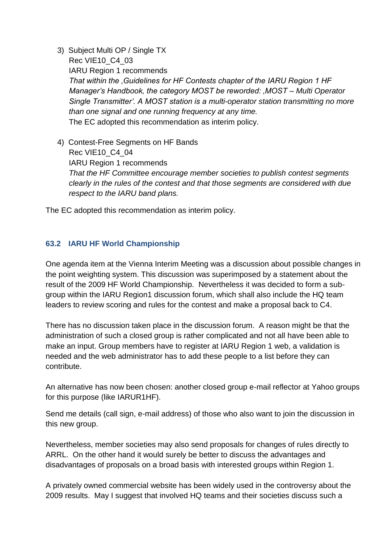- 3) Subject Multi OP / Single TX Rec VIE10\_C4\_03 IARU Region 1 recommends *That within the 'Guidelines for HF Contests chapter of the IARU Region 1 HF Manager's Handbook, the category MOST be reworded: 'MOST – Multi Operator Single Transmitter'. A MOST station is a multi-operator station transmitting no more than one signal and one running frequency at any time.* The EC adopted this recommendation as interim policy.
- 4) Contest-Free Segments on HF Bands Rec VIE10\_C4\_04 IARU Region 1 recommends *That the HF Committee encourage member societies to publish contest segments clearly in the rules of the contest and that those segments are considered with due respect to the IARU band plans.*

The EC adopted this recommendation as interim policy.

## **63.2 IARU HF World Championship**

One agenda item at the Vienna Interim Meeting was a discussion about possible changes in the point weighting system. This discussion was superimposed by a statement about the result of the 2009 HF World Championship. Nevertheless it was decided to form a subgroup within the IARU Region1 discussion forum, which shall also include the HQ team leaders to review scoring and rules for the contest and make a proposal back to C4.

There has no discussion taken place in the discussion forum. A reason might be that the administration of such a closed group is rather complicated and not all have been able to make an input. Group members have to register at IARU Region 1 web, a validation is needed and the web administrator has to add these people to a list before they can contribute.

An alternative has now been chosen: another closed group e-mail reflector at Yahoo groups for this purpose (like IARUR1HF).

Send me details (call sign, e-mail address) of those who also want to join the discussion in this new group.

Nevertheless, member societies may also send proposals for changes of rules directly to ARRL. On the other hand it would surely be better to discuss the advantages and disadvantages of proposals on a broad basis with interested groups within Region 1.

A privately owned commercial website has been widely used in the controversy about the 2009 results. May I suggest that involved HQ teams and their societies discuss such a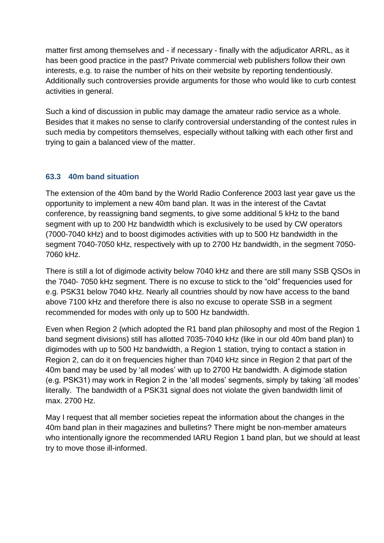matter first among themselves and - if necessary - finally with the adjudicator ARRL, as it has been good practice in the past? Private commercial web publishers follow their own interests, e.g. to raise the number of hits on their website by reporting tendentiously. Additionally such controversies provide arguments for those who would like to curb contest activities in general.

Such a kind of discussion in public may damage the amateur radio service as a whole. Besides that it makes no sense to clarify controversial understanding of the contest rules in such media by competitors themselves, especially without talking with each other first and trying to gain a balanced view of the matter.

## **63.3 40m band situation**

The extension of the 40m band by the World Radio Conference 2003 last year gave us the opportunity to implement a new 40m band plan. It was in the interest of the Cavtat conference, by reassigning band segments, to give some additional 5 kHz to the band segment with up to 200 Hz bandwidth which is exclusively to be used by CW operators (7000-7040 kHz) and to boost digimodes activities with up to 500 Hz bandwidth in the segment 7040-7050 kHz, respectively with up to 2700 Hz bandwidth, in the segment 7050- 7060 kHz.

There is still a lot of digimode activity below 7040 kHz and there are still many SSB QSOs in the 7040- 7050 kHz segment. There is no excuse to stick to the "old" frequencies used for e.g. PSK31 below 7040 kHz. Nearly all countries should by now have access to the band above 7100 kHz and therefore there is also no excuse to operate SSB in a segment recommended for modes with only up to 500 Hz bandwidth.

Even when Region 2 (which adopted the R1 band plan philosophy and most of the Region 1 band segment divisions) still has allotted 7035-7040 kHz (like in our old 40m band plan) to digimodes with up to 500 Hz bandwidth, a Region 1 station, trying to contact a station in Region 2, can do it on frequencies higher than 7040 kHz since in Region 2 that part of the 40m band may be used by "all modes" with up to 2700 Hz bandwidth. A digimode station (e.g. PSK31) may work in Region 2 in the "all modes" segments, simply by taking "all modes" literally. The bandwidth of a PSK31 signal does not violate the given bandwidth limit of max. 2700 Hz.

May I request that all member societies repeat the information about the changes in the 40m band plan in their magazines and bulletins? There might be non-member amateurs who intentionally ignore the recommended IARU Region 1 band plan, but we should at least try to move those ill-informed.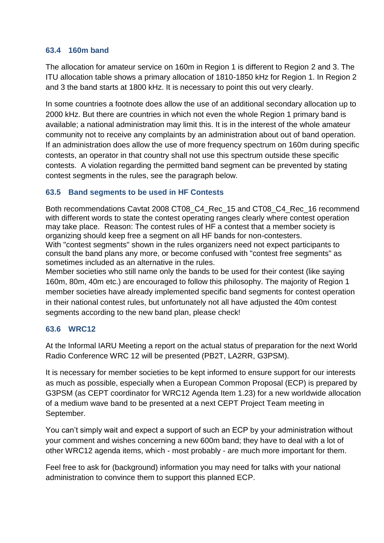#### **63.4 160m band**

The allocation for amateur service on 160m in Region 1 is different to Region 2 and 3. The ITU allocation table shows a primary allocation of 1810-1850 kHz for Region 1. In Region 2 and 3 the band starts at 1800 kHz. It is necessary to point this out very clearly.

In some countries a footnote does allow the use of an additional secondary allocation up to 2000 kHz. But there are countries in which not even the whole Region 1 primary band is available; a national administration may limit this. It is in the interest of the whole amateur community not to receive any complaints by an administration about out of band operation. If an administration does allow the use of more frequency spectrum on 160m during specific contests, an operator in that country shall not use this spectrum outside these specific contests. A violation regarding the permitted band segment can be prevented by stating contest segments in the rules, see the paragraph below.

### **63.5 Band segments to be used in HF Contests**

Both recommendations Cavtat 2008 CT08 C4 Rec\_15 and CT08 C4 Rec\_16 recommend with different words to state the contest operating ranges clearly where contest operation may take place. Reason: The contest rules of HF a contest that a member society is organizing should keep free a segment on all HF bands for non-contesters. With "contest segments" shown in the rules organizers need not expect participants to consult the band plans any more, or become confused with "contest free segments" as sometimes included as an alternative in the rules.

Member societies who still name only the bands to be used for their contest (like saying 160m, 80m, 40m etc.) are encouraged to follow this philosophy. The majority of Region 1 member societies have already implemented specific band segments for contest operation in their national contest rules, but unfortunately not all have adjusted the 40m contest segments according to the new band plan, please check!

### **63.6 WRC12**

At the Informal IARU Meeting a report on the actual status of preparation for the next World Radio Conference WRC 12 will be presented (PB2T, LA2RR, G3PSM).

It is necessary for member societies to be kept informed to ensure support for our interests as much as possible, especially when a European Common Proposal (ECP) is prepared by G3PSM (as CEPT coordinator for WRC12 Agenda Item 1.23) for a new worldwide allocation of a medium wave band to be presented at a next CEPT Project Team meeting in September.

You can't simply wait and expect a support of such an ECP by your administration without your comment and wishes concerning a new 600m band; they have to deal with a lot of other WRC12 agenda items, which - most probably - are much more important for them.

Feel free to ask for (background) information you may need for talks with your national administration to convince them to support this planned ECP.